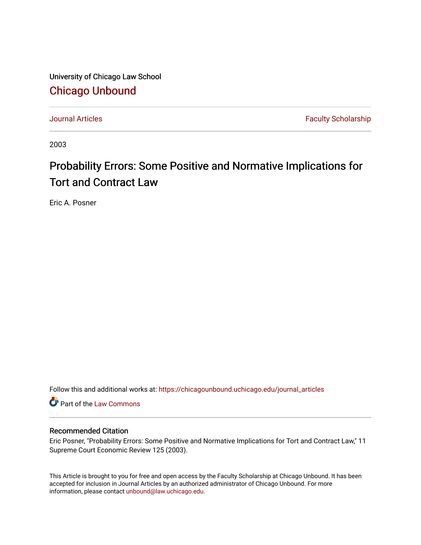University of Chicago Law School [Chicago Unbound](https://chicagounbound.uchicago.edu/)

[Journal Articles](https://chicagounbound.uchicago.edu/journal_articles) **Faculty Scholarship Journal Articles** 

2003

# Probability Errors: Some Positive and Normative Implications for Tort and Contract Law

Eric A. Posner

Follow this and additional works at: [https://chicagounbound.uchicago.edu/journal\\_articles](https://chicagounbound.uchicago.edu/journal_articles?utm_source=chicagounbound.uchicago.edu%2Fjournal_articles%2F4144&utm_medium=PDF&utm_campaign=PDFCoverPages) 

Part of the [Law Commons](http://network.bepress.com/hgg/discipline/578?utm_source=chicagounbound.uchicago.edu%2Fjournal_articles%2F4144&utm_medium=PDF&utm_campaign=PDFCoverPages)

## Recommended Citation

Eric Posner, "Probability Errors: Some Positive and Normative Implications for Tort and Contract Law," 11 Supreme Court Economic Review 125 (2003).

This Article is brought to you for free and open access by the Faculty Scholarship at Chicago Unbound. It has been accepted for inclusion in Journal Articles by an authorized administrator of Chicago Unbound. For more information, please contact [unbound@law.uchicago.edu](mailto:unbound@law.uchicago.edu).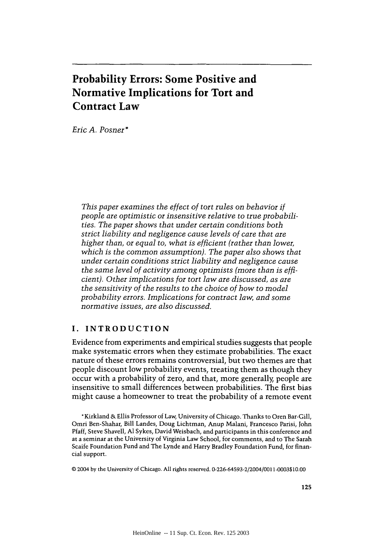## **Probability Errors: Some Positive and Normative Implications for Tort and Contract Law**

*Eric A. Posner\**

*This paper examines the effect of tort rules on behavior if people are optimistic or insensitive relative to true probabilities. The paper shows that under certain conditions both strict liability and negligence cause levels of care that are higher than, or equal to, what is efficient (rather than lower, which is the common assumption). The paper also shows that under certain conditions strict liability and negligence cause the same level of activity among optimists (more than is efficient). Other implications for tort law are discussed, as are the sensitivity of the results to the choice of how to model probability errors. Implications for contract law, and some normative issues, are also discussed.*

## **I. INTRODUCTION**

Evidence from experiments and empirical studies suggests that people make systematic errors when they estimate probabilities. The exact nature of these errors remains controversial, but two themes are that people discount low probability events, treating them as though they occur with a probability of zero, and that, more generally, people are insensitive to small differences between probabilities. The first bias might cause a homeowner to treat the probability of a remote event

**\*** Kirkland & Ellis Professor of Law, University of Chicago. Thanks to Oren Bar-Gill, Omri Ben-Shahar, Bill Landes, Doug Lichtman, Anup Malani, Francesco Parisi, John Pfaff, Steve Shavell, **Al** Sykes, David Weisbach, and participants in this conference and at a seminar at the University of Virginia Law School, for comments, and to The Sarah Scaife Foundation Fund and The Lynde and Harry Bradley Foundation Fund, for financial support.

© 2004 by the University of Chicago. All rights reserved. 0-226-64593-2/2004/0011-0003\$10.00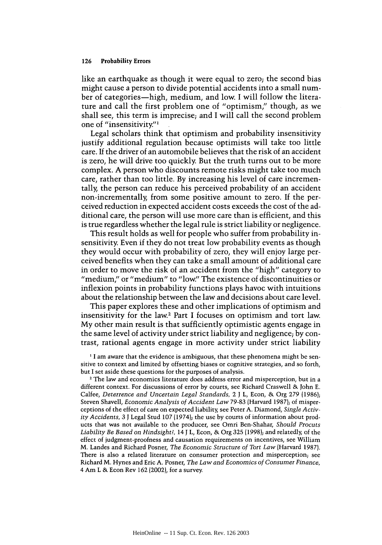like an earthquake as though it were equal to zero; the second bias might cause a person to divide potential accidents into a small number of categories-high, medium, and low. I will follow the literature and call the first problem one of "optimism," though, as we shall see, this term is imprecise; and I will call the second problem one of "insensitivity."'

Legal scholars think that optimism and probability insensitivity justify additional regulation because optimists will take too little care. If the driver of an automobile believes that the risk of an accident is zero, he will drive too quickly. But the truth turns out to be more complex. A person who discounts remote risks might take too much care, rather than too little. By increasing his level of care incrementally, the person can reduce his perceived probability of an accident non-incrementally, from some positive amount to zero. If the perceived reduction in expected accident costs exceeds the cost of the additional care, the person will use more care than is efficient, and this is true regardless whether the legal rule is strict liability or negligence.

This result holds as well for people who suffer from probability insensitivity. Even if they do not treat low probability events as though they would occur with probability of zero, they will enjoy large perceived benefits when they can take a small amount of additional care in order to move the risk of an accident from the "high" category to "medium," or "medium" to "low" The existence of discontinuities or inflexion points in probability functions plays havoc with intuitions about the relationship between the law and decisions about care level.

This paper explores these and other implications of optimism and insensitivity for the law.<sup>2</sup> Part I focuses on optimism and tort law. My other main result is that sufficiently optimistic agents engage in the same level of activity under strict liability and negligence; by contrast, rational agents engage in more activity under strict liability

**II** am aware that the evidence is ambiguous, that these phenomena might be sensitive to context and limited by offsetting biases or cognitive strategies, and so forth, but I set aside these questions for the purposes of analysis.

<sup>2</sup> The law and economics literature does address error and misperception, but in a different context. For discussions of error by courts, see Richard Craswell & John E. Calfee, *Deterrence and Uncertain Legal Standards,* 2 J L, Econ, & Org 279 (1986); Steven Shavell, *Economic Analysis of Accident Law* 79-83 (Harvard 1987); of misperceptions of the effect of care on expected liability, see Peter A. Diamond, *Single Activity Accidents,* 3 J Legal Stud **107** (1974); the use by courts of information about products that was not available to the producer, see Omri Ben-Shahar, *Should Procuts Liability Be Based on Hindsight?,* 14 J L, Econ, & Org 325 (1998); and relatedly, of the effect of judgment-proofness and causation requirements on incentives, see William M. Landes and Richard Posner, *The Economic Structure of Tort Law* (Harvard 1987). There is also a related literature on consumer protection and misperception; see Richard M. Hynes and Eric A. Posner, *The Law and Economics of Consumer Finance,* 4 Am L & Econ Rev 162 (2002), for a survey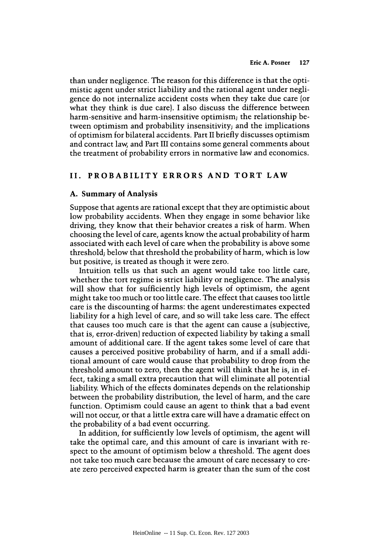than under negligence. The reason for this difference is that the optimistic agent under strict liability and the rational agent under negligence do not internalize accident costs when they take due care (or what they think is due care). I also discuss the difference between harm-sensitive and harm-insensitive optimism; the relationship between optimism and probability insensitivity; and the implications of optimism for bilateral accidents. Part II briefly discusses optimism and contract law, and Part III contains some general comments about the treatment of probability errors in normative law and economics.

## **II. PROBABILITY ERRORS AND TORT LAW**

## **A. Summary of Analysis**

Suppose that agents are rational except that they are optimistic about low probability accidents. When they engage in some behavior like driving, they know that their behavior creates a risk of harm. When choosing the level of care, agents know the actual probability of harm associated with each level of care when the probability is above some threshold; below that threshold the probability of harm, which is low but positive, is treated as though it were zero.

Intuition tells us that such an agent would take too little care, whether the tort regime is strict liability or negligence. The analysis will show that for sufficiently high levels of optimism, the agent might take too much or too little care. The effect that causes too little care is the discounting of harms: the agent underestimates expected liability for a high level of care, and so will take less care. The effect that causes too much care is that the agent can cause a (subjective, that is, error-driven) reduction of expected liability by taking a small amount of additional care. If the agent takes some level of care that causes a perceived positive probability of harm, and if a small additional amount of care would cause that probability to drop from the threshold amount to zero, then the agent will think that he is, in effect, taking a small extra precaution that will eliminate all potential liability. Which of the effects dominates depends on the relationship between the probability distribution, the level of harm, and the care function. Optimism could cause an agent to think that a bad event will not occur, or that a little extra care will have a dramatic effect on the probability of a bad event occurring.

In addition, for sufficiently low levels of optimism, the agent will take the optimal care, and this amount of care is invariant with respect to the amount of optimism below a threshold. The agent does not take too much care because the amount of care necessary to create zero perceived expected harm is greater than the sum of the cost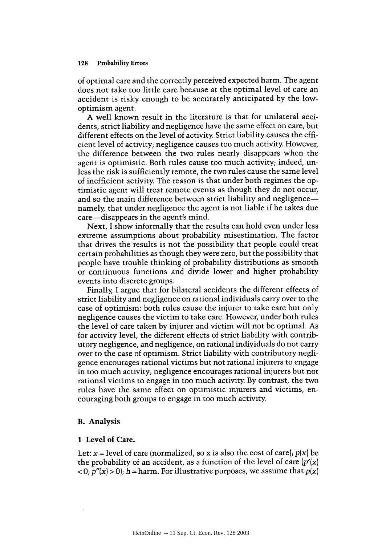of optimal care and the correctly perceived expected harm. The agent does not take too little care because at the optimal level of care an accident is risky enough to be accurately anticipated by the lowoptimism agent.

**A** well known result in the literature is that for unilateral accidents, strict liability and negligence have the same effect on care, but different effects on the level of activity. Strict liability causes the efficient level of activity; negligence causes too much activity. However, the difference between the two rules nearly disappears when the agent is optimistic. Both rules cause too much activity; indeed, unless the risk is sufficiently remote, the two rules cause the same level of inefficient activity. The reason is that under both regimes the optimistic agent will treat remote events as though they do not occur, and so the main difference between strict liability and negligencenamely, that under negligence the agent is not liable if he takes due care-disappears in the agent's mind.

Next, I show informally that the results can hold even under less extreme assumptions about probability misestimation. The factor that drives the results is not the possibility that people could treat certain probabilities as though they were zero, but the possibility that people have trouble thinking of probability distributions as smooth or continuous functions and divide lower and higher probability events into discrete groups.

Finally, **I** argue that for bilateral accidents the different effects of strict liability and negligence on rational individuals carry over to the case of optimism: both rules cause the injurer to take care but only negligence causes the victim to take care. However, under both rules the level of care taken by injurer and victim will not be optimal. As for activity level, the different effects of strict liability with contributory negligence, and negligence, on rational individuals do not carry over to the case of optimism. Strict liability with contributory negligence encourages rational victims but not rational injurers to engage in too much activity; negligence encourages rational injurers but not rational victims to engage in too much activity **By** contrast, the two rules have the same effect on optimistic injurers and victims, encouraging both groups to engage in too much activity.

## B. Analysis

## 1 Level of Care.

Let:  $x = level$  of care (normalized, so x is also the cost of care);  $p(x)$  be the probability of an accident, as a function of the level of care  $(p'|x)$  $(0, p''(x) > 0)$ ,  $h =$  harm. For illustrative purposes, we assume that  $p(x)$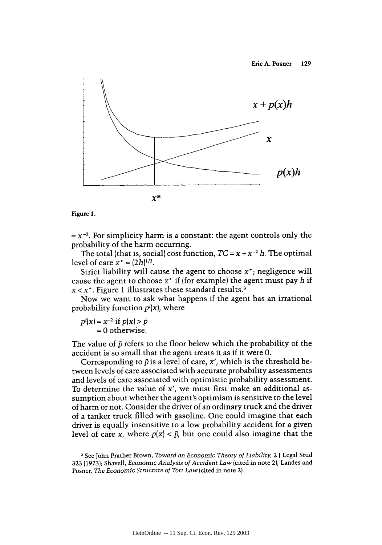

#### Figure **1.**

 $= x^{-2}$ . For simplicity harm is a constant: the agent controls only the probability of the harm occurring.

The total (that is, social) cost function,  $TC = x + x^{-2}h$ . The optimal level of care  $x^* = (2h)^{1/3}$ .

Strict liability will cause the agent to choose  $x^*$ ; negligence will cause the agent to choose x\* if (for example) the agent must pay *h* if  $x < x^*$ . Figure 1 illustrates these standard results.<sup>3</sup>

Now we want to ask what happens if the agent has an irrational probability function  $p^{i}(x)$ , where

 $p^{i}(x) = x^{-2}$  if  $p(x) > \bar{p}$ **=** 0 otherwise.

The value of *p* refers to the floor below which the probability of the accident is so small that the agent treats it as if it were 0.

Corresponding to  $\bar{p}$  is a level of care, x', which is the threshold between levels of care associated with accurate probability assessments and levels of care associated with optimistic probability assessment. To determine the value of  $x'$ , we must first make an additional assumption about whether the agent's optimism is sensitive to the level of harm or not. Consider the driver of an ordinary truck and the driver of a tanker truck filled with gasoline. One could imagine that each driver is equally insensitive to a low probability accident for a given level of care x, where  $p(x) < \bar{p}$ , but one could also imagine that the

**<sup>3</sup>**See John Prather Brown, *Toward an Economic Theory of Liability,* 2 J Legal Stud 323 (1973); Shavell, *Economic Analysis of Accident Law* (cited in note 2); Landes and Posner, *The Economic Structure of Tort Law* (cited in note 2).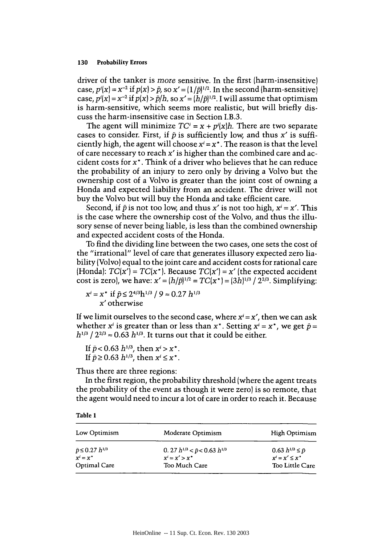driver of the tanker is *more* sensitive. In the first (harm-insensitive) case,  $p^{i}(x) = x^{-2}$  if  $p(x) > \bar{p}$ , so  $x' = (1/\bar{p})^{1/2}$ . In the second (harm-sensitive) case,  $p^{i}(x) = x^{-2}$  if  $p(x) > \bar{p}/h$ , so  $x' = (h/\bar{p})^{1/2}$ . I will assume that optimism is harm-sensitive, which seems more realistic, but will briefly discuss the harm-insensitive case in Section I.B.3.

The agent will minimize  $TC^i = x + p^i(x)h$ . There are two separate cases to consider. First, if  $\bar{p}$  is sufficiently low, and thus  $x'$  is sufficiently high, the agent will choose  $x^i = x^*$ . The reason is that the level of care necessary to reach x' is higher than the combined care and accident costs for x\*. Think of a driver who believes that he can reduce the probability of an injury to zero only by driving a Volvo but the ownership cost of a Volvo is greater than the joint cost of owning a Honda and expected liability from an accident. The driver will not buy the Volvo but will buy the Honda and take efficient care.

Second, if  $\bar{p}$  is not too low, and thus x' is not too high,  $x^i = x'$ . This is the case where the ownership cost of the Volvo, and thus the illusory sense of never being liable, is less than the combined ownership and expected accident costs of the Honda.

To find the dividing line between the two cases, one sets the cost of the "irrational" level of care that generates illusory expected zero liability (Volvo) equal to the joint care and accident costs for rational care (Honda):  $TC(x') = TC(x^*)$ . Because  $TC(x') = x'$  (the expected accident cost is zero), we have:  $x' = (h/\bar{p})^{1/2} = TC(x^*) = (3h)^{1/3} / 2^{2/3}$ . Simplifying:

$$
x^{i} = x^{*}
$$
 if  $\bar{p} \le 2^{4/3}h^{1/3} / 9 \approx 0.27 h^{1/3}$   
x' otherwise

If we limit ourselves to the second case, where  $x^i = x'$ , then we can ask whether x<sup>*i*</sup> is greater than or less than x<sup>\*</sup>. Setting  $x^i = x^*$ , we get  $\bar{p} =$  $h^{1/3}$  /  $2^{2/3} \approx 0.63$   $h^{1/3}$ . It turns out that it could be either.

If  $\bar{p} < 0.63 \; h^{1/3}$ , then  $x^i > x^*$ . If  $\bar{p} \ge 0.63 \; h^{1/3}$ , then  $x^i \le x^*$ 

Thus there are three regions:

In the first region, the probability threshold (where the agent treats the probability of the event as though it were zero) is so remote, that the agent would need to incur a lot of care in order to reach it. Because

| Low Optimism               | Moderate Optimism                        | High Optimism               |
|----------------------------|------------------------------------------|-----------------------------|
| $\bar{p} \le 0.27 h^{1/3}$ | 0. 27 $h^{1/3} < \bar{p} < 0.63 h^{1/3}$ | $0.63 h^{1/3} \leq \bar{D}$ |
| $x^i = x^*$                | $x' = x' > x^*$                          | $x^i = x' \leq x^*$         |
| Optimal Care               | Too Much Care                            | Too Little Care             |

Table 1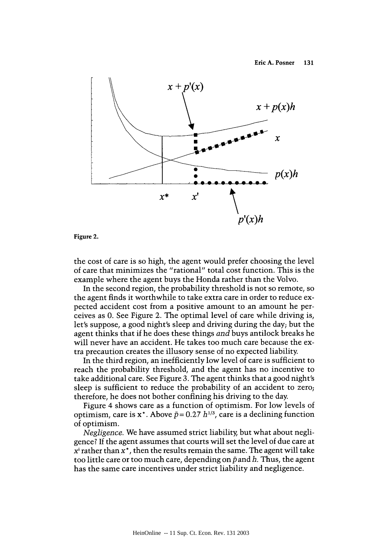

## **Figure 2.**

the cost of care is so high, the agent would prefer choosing the level of care that minimizes the "rational" total cost function. This is the example where the agent buys the Honda rather than the Volvo.

In the second region, the probability threshold is not so remote, so the agent finds it worthwhile to take extra care in order to reduce expected accident cost from a positive amount to an amount he perceives as 0. See Figure 2. The optimal level of care while driving is, let's suppose, a good night's sleep and driving during the day; but the agent thinks that if he does these things *and* buys antilock breaks he will never have an accident. He takes too much care because the extra precaution creates the illusory sense of no expected liability.

In the third region, an inefficiently low level of care is sufficient to reach the probability threshold, and the agent has no incentive to take additional care. See Figure 3. The agent thinks that a good night's sleep is sufficient to reduce the probability of an accident to zero; therefore, he does not bother confining his driving to the day.

Figure 4 shows care as a function of optimism. For low levels of optimism, care is  $x^*$ . Above  $\bar{p} = 0.27 h^{1/3}$ , care is a declining function of optimism.

*Negligence.* We have assumed strict liability, but what about negligence? If the agent assumes that courts will set the level of due care at **xi** rather than x\*, then the results remain the same. The agent will take too little care or too much care, depending on  $\bar{p}$  and *h*. Thus, the agent has the same care incentives under strict liability and negligence.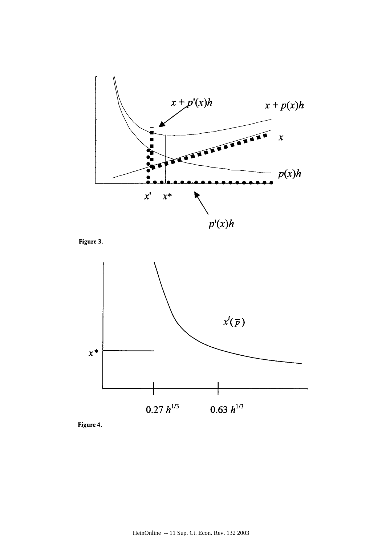

**Figure 3.**



**Figure 4.**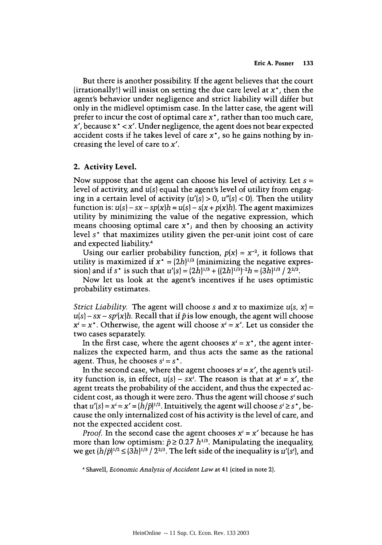But there is another possibility. If the agent believes that the court (irrationally!) will insist on setting the due care level at x\*, then the agent's behavior under negligence and strict liability will differ but only in the midlevel optimism case. In the latter case, the agent will prefer to incur the cost of optimal care x\*, rather than too much care,  $x'$ , because  $x' < x'$ . Under negligence, the agent does not bear expected accident costs if he takes level of care  $x^*$ , so he gains nothing by increasing the level of care to x'.

## 2. Activity Level.

Now suppose that the agent can choose his level of activity Let *s* = level of activity, and *u(s)* equal the agent's level of utility from engaging in a certain level of activity  $|u'(s) > 0$ ,  $u''(s) < 0$ . Then the utility function is:  $u(s) - sx - sp(x)h = u(s) - s(x + p(x)h)$ . The agent maximizes utility by minimizing the value of the negative expression, which means choosing optimal care  $x^*$ ; and then by choosing an activity level *s\** that maximizes utility given the per-unit joint cost of care and expected liability.4

Using our earlier probability function,  $p(x) = x^{-2}$ , it follows that utility is maximized if  $x^* = (2h)^{1/3}$  (minimizing the negative expression) and if *s*<sup>\*</sup> is such that  $u'(s) = (2h)^{1/3} + ((2h)^{1/3})^{-2}h = (3h)^{1/3} / 2^{2/3}$ 

Now let us look at the agent's incentives if he uses optimistic probability estimates.

*Strict Liability.* The agent will choose *s* and x to maximize *u(s, x)* <sup>=</sup>  $u(s) - sx - sp'(x)h$ . Recall that if  $\bar{p}$  is low enough, the agent will choose  $x^{i} = x^{*}$ . Otherwise, the agent will choose  $x^{i} = x'$ . Let us consider the two cases separately.

In the first case, where the agent chooses  $x^i = x^*$ , the agent internalizes the expected harm, and thus acts the same as the rational agent. Thus, he chooses  $s^i = s^*$ .

In the second case, where the agent chooses  $x^i = x'$ , the agent's utility function is, in effect,  $u(s) - sx^i$ . The reason is that at  $x^i = x'$ , the agent treats the probability of the accident, and thus the expected accident cost, as though it were zero. Thus the agent will choose *si* such that  $u'(s) = x^i = x' = (h/\bar{p})^{1/2}$ . Intuitively, the agent will choose  $s^i \geq s^*$ , because the only internalized cost of his activity is the level of care, and not the expected accident cost.

*Proof.* In the second case the agent chooses  $x^i = x^i$  because he has more than low optimism:  $\bar{p} \geq 0.27 h^{1/3}$ . Manipulating the inequality, we get  $(h/\bar{p})^{1/2} \leq (3h)^{1/3} / 2^{2/3}$ . The left side of the inequality is  $u'(s')$ , and

**I** Shavell, *Economic Analysis of Accident Law* at 41 (cited in note 2).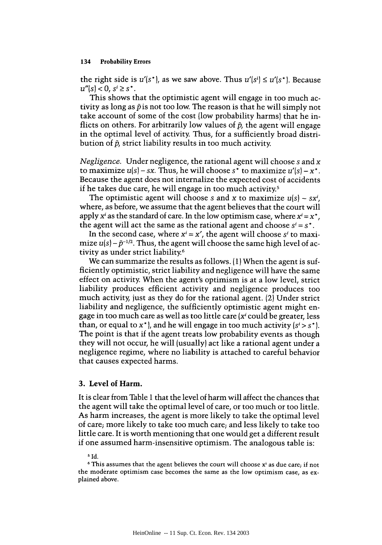the right side is  $u'(s^*)$ , as we saw above. Thus  $u'(s^*) \le u'(s^*)$ . Because  $u''(s) < 0, s' \geq s^*$ .

This shows that the optimistic agent will engage in too much activity as long as *pis* not too low. The reason is that he will simply not take account of some of the cost (low probability harms) that he inflicts on others. For arbitrarily low values of  $\bar{p}$ , the agent will engage in the optimal level of activity. Thus, for a sufficiently broad distribution of *p,* strict liability results in too much activity.

*Negligence.* Under negligence, the rational agent will choose *s* and x to maximize  $u(s) - sx$ . Thus, he will choose  $s^*$  to maximize  $u'(s) - x^*$ . Because the agent does not internalize the expected cost of accidents if he takes due care, he will engage in too much activity.<sup>5</sup>

The optimistic agent will choose *s* and *x* to maximize  $u(s) - sx^i$ . where, as before, we assume that the agent believes that the court will apply  $x^i$  as the standard of care. In the low optimism case, where  $x^i = x^*$ , the agent will act the same as the rational agent and choose  $s^i = s^*$ .

In the second case, where  $x^i = x'$ , the agent will choose  $s^i$  to maximize  $u(s) - \bar{p}^{-1/2}$ . Thus, the agent will choose the same high level of activity as under strict liability.<sup>6</sup>

We can summarize the results as follows. (1) When the agent is sufficiently optimistic, strict liability and negligence will have the same effect on activity. When the agent's optimism is at a low level, strict liability produces efficient activity and negligence produces too much activity, just as they do for the rational agent. (2) Under strict liability and negligence, the sufficiently optimistic agent might engage in too much care as well as too little care  $(x<sup>i</sup>$  could be greater, less than, or equal to  $x^*$ , and he will engage in too much activity  $(s^i > s^*)$ . The point is that if the agent treats low probability events as though they will not occur, he will (usually) act like a rational agent under a negligence regime, where no liability is attached to careful behavior that causes expected harms.

#### **3. Level of Harm.**

It is clear from Table 1 that the level of harm will affect the chances that the agent will take the optimal level of care, or too much or too little. As harm increases, the agent is more likely to take the optimal level of care; more likely to take too much care; and less likely to take too little care. It is worth mentioning that one would get a different result if one assumed harm-insensitive optimism. The analogous table is:

#### s Id.

**<sup>6</sup>**This assumes that the agent believes the court will choose x' as due care; if not the moderate optimism case becomes the same as the low optimism case, as explained above.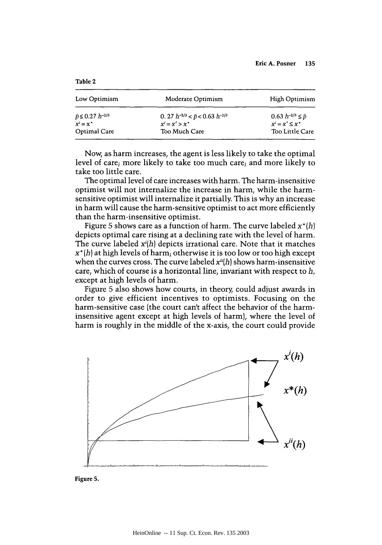| Low Optimism                                | Moderate Optimism                                              | High Optimism                                       |
|---------------------------------------------|----------------------------------------------------------------|-----------------------------------------------------|
| $\bar{p} \leq 0.27 h^{-2/3}$<br>$x^i = x^*$ | 0. 27 $h^{-2/3} < \bar{p} < 0.63 h^{-2/3}$<br>$x^i = x' > x^*$ | $0.63 h^{-2/3} \leq \bar{p}$<br>$x^i = x' \leq x^*$ |
| Optimal Care                                | Too Much Care                                                  | Too Little Care                                     |

#### Table 2

Now, as harm increases, the agent is less likely to take the optimal level of care; more likely to take too much care; and more likely to take too little care.

The optimal level of care increases with harm. The harm-insensitive optimist will not internalize the increase in harm, while the harmsensitive optimist will internalize it partially. This is why an increase in harm will cause the harm-sensitive optimist to act more efficiently than the harm-insensitive optimist.

Figure 5 shows care as a function of harm. The curve labeled *x\*(h)* depicts optimal care rising at a declining rate with the level of harm. The curve labeled *x'(h)* depicts irrational care. Note that it matches *x\* (h)* at high levels of harm; otherwise it is too low or too high except when the curves cross. The curve labeled  $x^{ii}(h)$  shows harm-insensitive care, which of course is a horizontal line, invariant with respect to *h,* except at high levels of harm.

Figure 5 also shows how courts, in theory, could adjust awards in order to give efficient incentives to optimists. Focusing on the harm-sensitive case (the court can't affect the behavior of the harminsensitive agent except at high levels of harm), where the level of harm is roughly in the middle of the x-axis, the court could provide



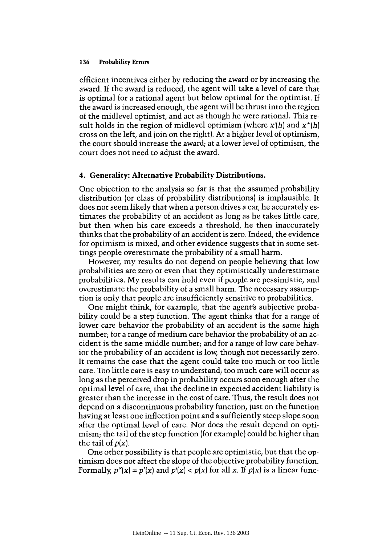efficient incentives either by reducing the award or by increasing the award. If the award is reduced, the agent will take a level of care that is optimal for a rational agent but below optimal for the optimist. If the award is increased enough, the agent will be thrust into the region of the midlevel optimist, and act as though he were rational. This result holds in the region of midlevel optimism (where *x'(h)* and *x\*(h)* cross on the left, and join on the right). At a higher level of optimism, the court should increase the award; at a lower level of optimism, the court does not need to adjust the award.

## **4. Generality: Alternative Probability Distributions.**

One objection to the analysis so far is that the assumed probability distribution (or class of probability distributions) is implausible. It does not seem likely that when a person drives a car, he accurately estimates the probability of an accident as long as he takes little care, but then when his care exceeds a threshold, he then inaccurately thinks that the probability of an accident is zero. Indeed, the evidence for optimism is mixed, and other evidence suggests that in some settings people overestimate the probability of a small harm.

However, my results do not depend on people believing that low probabilities are zero or even that they optimistically underestimate probabilities. My results can hold even if people are pessimistic, and overestimate the probability of a small harm. The necessary assumption is only that people are insufficiently sensitive to probabilities.

One might think, for example, that the agent's subjective probability could be a step function. The agent thinks that for a range of lower care behavior the probability of an accident is the same high number; for a range of medium care behavior the probability of an accident is the same middle number; and for a range of low care behavior the probability of an accident is low, though not necessarily zero. It remains the case that the agent could take too much or too little care. Too little care is easy to understand; too much care will occur as long as the perceived drop in probability occurs soon enough after the optimal level of care, that the decline in expected accident liability is greater than the increase in the cost of care. Thus, the result does not depend on a discontinuous probability function, just on the function having at least one inflection point and a sufficiently steep slope soon after the optimal level of care. Nor does the result depend on optimism; the tail of the step function (for example) could be higher than the tail of *p(x).*

One other possibility is that people are optimistic, but that the optimism does not affect the slope of the objective probability function. Formally,  $p^{i'}(x) = p'(x)$  and  $p^{i'}(x) < p(x)$  for all x. If  $p(x)$  is a linear func-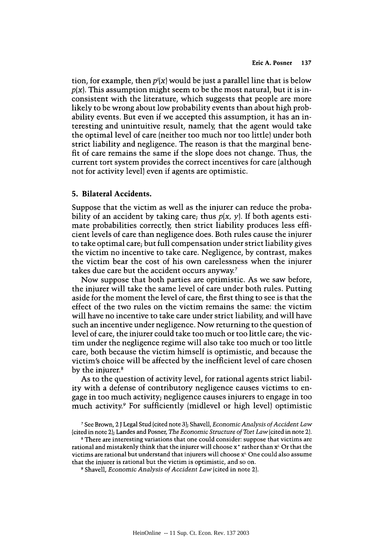tion, for example, then  $p^{i}(x)$  would be just a parallel line that is below  $p(x)$ . This assumption might seem to be the most natural, but it is inconsistent with the literature, which suggests that people are more likely to be wrong about low probability events than about high probability events. But even if we accepted this assumption, it has an interesting and unintuitive result, namely, that the agent would take the optimal level of care (neither too much nor too little) under both strict liability and negligence. The reason is that the marginal benefit of care remains the same if the slope does not change. Thus, the current tort system provides the correct incentives for care (although not for activity level) even if agents are optimistic.

## **5. Bilateral Accidents.**

Suppose that the victim as well as the injurer can reduce the probability of an accident **by** taking care; thus *p(x,* **y).** If both agents estimate probabilities correctly, then strict liability produces less efficient levels of care than negligence does. Both rules cause the injurer to take optimal care; but full compensation under strict liability gives the victim no incentive to take care. Negligence, **by** contrast, makes the victim bear the cost of his own carelessness when the injurer takes due care but the accident occurs anyway.<sup>7</sup>

Now suppose that both parties are optimistic. As we saw before, the injurer will take the same level of care under both rules. Putting aside for the moment the level of care, the first thing to see is that the effect of the two rules on the victim remains the same: the victim will have no incentive to take care under strict liability, and will have such an incentive under negligence. Now returning to the question of level of care, the injurer could take too much or too little care; the victim under the negligence regime will also take too much or too little care, both because the victim himself is optimistic, and because the victim's choice will be affected **by** the inefficient level of care chosen **by** the injurer.'

As to the question of activity level, for rational agents strict liability with a defense of contributory negligence causes victims to engage in too much activity; negligence causes injurers to engage in too much activity.<sup>9</sup> For sufficiently (midlevel or high level) optimistic

<sup>8</sup> There are interesting variations that one could consider: suppose that victims are rational and mistakenly think that the injurer will choose  $x^*$  rather than  $x^i$  Or that the victims are rational but understand that injurers will choose  $x<sup>i</sup>$ . One could also assume that the injurer is rational but the victim is optimistic, and so on.

**9** Shavell, *Economic Analysis of Accident Law* (cited in note 2).

**<sup>7</sup>** See Brown, 2 J Legal Stud (cited note 3); Shavell, *Economic Analysis of Accident Law* (cited in note 2); Landes and Posner, *The Economic Structure of Tort Law* (cited in note 2).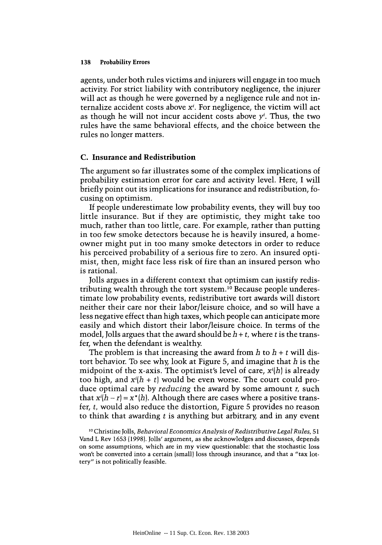agents, under both rules victims and injurers will engage in too much activity. For strict liability with contributory negligence, the injurer will act as though he were governed by a negligence rule and not internalize accident costs above  $x<sup>i</sup>$ . For negligence, the victim will act as though he will not incur accident costs above  $y^i$ . Thus, the two rules have the same behavioral effects, and the choice between the rules no longer matters.

#### **C. Insurance and Redistribution**

The argument so far illustrates some of the complex implications of probability estimation error for care and activity level. Here, I will briefly point out its implications for insurance and redistribution, focusing on optimism.

If people underestimate low probability events, they will buy too little insurance. But if they are optimistic, they might take too much, rather than too little, care. For example, rather than putting in too few smoke detectors because he is heavily insured, a homeowner might put in too many smoke detectors in order to reduce his perceived probability of a serious fire to zero. An insured optimist, then, might face less risk of fire than an insured person who is rational.

Jolls argues in a different context that optimism can justify redistributing wealth through the tort system. 10 Because people underestimate low probability events, redistributive tort awards will distort neither their care nor their labor/leisure choice, and so will have a less negative effect than high taxes, which people can anticipate more easily and which distort their labor/leisure choice. In terms of the model, Jolls argues that the award should be  $h + t$ , where t is the transfer, when the defendant is wealthy.

The problem is that increasing the award from  $h$  to  $h + t$  will distort behavior. To see why, look at Figure 5, and imagine that *h* is the midpoint of the x-axis. The optimist's level of care,  $x^{i}(h)$  is already too high, and  $x^{i}(h + t)$  would be even worse. The court could produce optimal care by *reducing* the award by some amount *r,* such that  $x^{i}(h - r) = x^{*}(h)$ . Although there are cases where a positive transfer, t, would also reduce the distortion, Figure 5 provides no reason to think that awarding  $t$  is anything but arbitrary, and in any event

**1o** Christine Jolls, *Behavioral Economics Analysis of Redistributive Legal Rules, 51* Vand L Rev 1653 (1998). Jolls' argument, as she acknowledges and discusses, depends on some assumptions, which are in my view questionable: that the stochastic loss won't be converted into a certain (small) loss through insurance, and that a "tax lottery" is not politically feasible.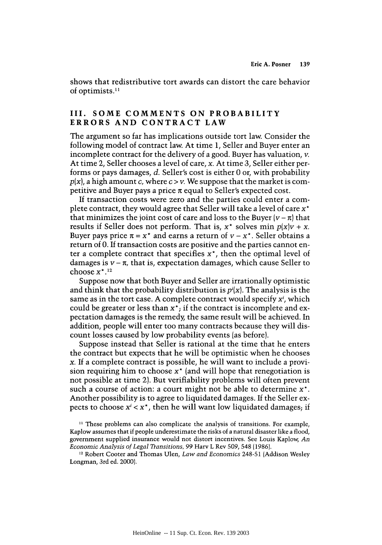shows that redistributive tort awards can distort the care behavior of optimists.<sup>11</sup>

## **III. SOME COMMENTS ON PROBABILITY ERRORS AND CONTRACT LAW**

The argument so far has implications outside tort law. Consider the following model of contract law. At time **1,** Seller and Buyer enter an incomplete contract for the delivery of a good. Buyer has valuation, v. At time 2, Seller chooses a level of care, x. At time **3,** Seller either performs or pays damages, *d.* Seller's cost is either 0 or, with probability  $p(x)$ , a high amount *c*, where  $c > v$ . We suppose that the market is competitive and Buyer pays a price  $\pi$  equal to Seller's expected cost.

If transaction costs were zero and the parties could enter a complete contract, they would agree that Seller will take a level of care **x\*** that minimizes the joint cost of care and loss to the Buyer  $(v - \pi)$  that results if Seller does not perform. That is,  $x^*$  solves min  $p(x|y + x)$ . Buyer pays price  $\pi = x^*$  and earns a return of  $v - x^*$ . Seller obtains a return of 0. If transaction costs are positive and the parties cannot enter a complete contract that specifies **x\*,** then the optimal level of damages is  $v - \pi$ , that is, expectation damages, which cause Seller to choose **x\*.12**

Suppose now that both Buyer and Seller are irrationally optimistic and think that the probability distribution is  $p^{i}(x)$ . The analysis is the same as in the tort case. A complete contract would specify *x4,* which could be greater or less than  $x^*$ ; if the contract is incomplete and expectation damages is the remedy, the same result will be achieved. In addition, people will enter too many contracts because they will discount losses caused **by** low probability events (as before).

Suppose instead that Seller is rational at the time that he enters the contract but expects that he will be optimistic when he chooses x. **If** a complete contract is possible, he will want to include a provision requiring him to choose  $x^*$  (and will hope that renegotiation is not possible at time 2). But verifiability problems will often prevent such a course of action: a court might not be able to determine  $x^*$ . Another possibility is to agree to liquidated damages. **If** the Seller expects to choose  $x^i < x^*$ , then he will want low liquidated damages; if

<sup>11</sup> These problems can also complicate the analysis of transitions. For example, Kaplow assumes that if people underestimate the risks of a natural disaster like a flood, government supplied insurance would not distort incentives. See Louis Kaplow, *An Economic Analysis of Legal Transitions,* 99 Harv L Rev 509, 548 (1986).

12 Robert Cooter and Thomas Ulen, *Law and Economics* 248-51 (Addison Wesley Longman, 3rd ed. 2000).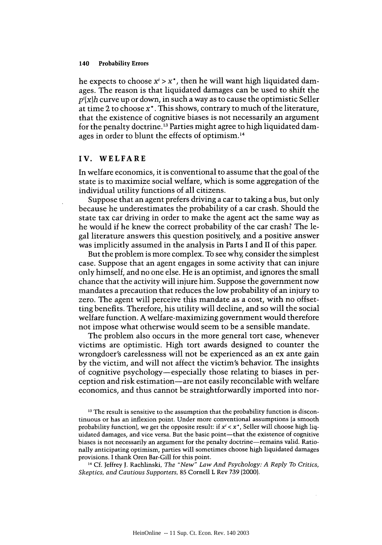he expects to choose  $x^i > x^*$ , then he will want high liquidated damages. The reason is that liquidated damages can be used to shift the  $p^{i}$ (x)h curve up or down, in such a way as to cause the optimistic Seller at time 2 to choose x\*. This shows, contrary to much of the literature, that the existence of cognitive biases is not necessarily an argument for the penalty doctrine.13 Parties might agree to high liquidated damages in order to blunt the effects of optimism. <sup>4</sup>

## **IV.** WELFARE

In welfare economics, it is conventional to assume that the goal of the state is to maximize social welfare, which is some aggregation of the individual utility functions of all citizens.

Suppose that an agent prefers driving a car to taking a bus, but only because he underestimates the probability of a car crash. Should the state tax car driving in order to make the agent act the same way as he would if he knew the correct probability of the car crash? The legal literature answers this question positively, and a positive answer was implicitly assumed in the analysis in Parts I and II of this paper.

But the problem is more complex. To see why, consider the simplest case. Suppose that an agent engages in some activity that can injure only himself, and no one else. He is an optimist, and ignores the small chance that the activity will injure him. Suppose the government now mandates a precaution that reduces the low probability of an injury to zero. The agent will perceive this mandate as a cost, with no offsetting benefits. Therefore, his utility will decline, and so will the social welfare function. A welfare-maximizing government would therefore not impose what otherwise would seem to be a sensible mandate.

The problem also occurs in the more general tort case, whenever victims are optimistic. High tort awards designed to counter the wrongdoer's carelessness will not be experienced as an ex ante gain by the victim, and will not affect the victim's behavior. The insights of cognitive psychology-especially those relating to biases in perception and risk estimation-are not easily reconcilable with welfare economics, and thus cannot be straightforwardly imported into nor-

<sup>13</sup> The result is sensitive to the assumption that the probability function is discontinuous or has an inflexion point. Under more conventional assumptions (a smooth probability function), we get the opposite result: if  $x^i < x^*$ , Seller will choose high liquidated damages, and vice versa. But the basic point-that the existence of cognitive biases is not necessarily an argument for the penalty doctrine—remains valid. Rationally anticipating optimism, parties will sometimes choose high liquidated damages provisions. I thank Oren Bar-Gill for this point.

<sup>14</sup>Cf. Jeffrey J. Rachlinski, *The "New" Law And Psychology: A Reply To Critics, Skeptics, and Cautious Supporters,* 85 Cornell L Rev 739 (2000).